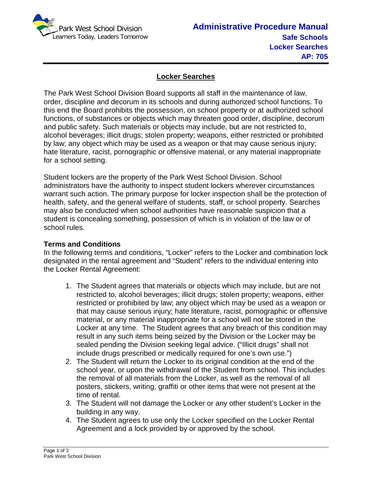

## **Locker Searches**

The Park West School Division Board supports all staff in the maintenance of law, order, discipline and decorum in its schools and during authorized school functions. To this end the Board prohibits the possession, on school property or at authorized school functions, of substances or objects which may threaten good order, discipline, decorum and public safety. Such materials or objects may include, but are not restricted to, alcohol beverages; illicit drugs; stolen property; weapons, either restricted or prohibited by law; any object which may be used as a weapon or that may cause serious injury; hate literature, racist, pornographic or offensive material, or any material inappropriate for a school setting.

Student lockers are the property of the Park West School Division. School administrators have the authority to inspect student lockers wherever circumstances warrant such action. The primary purpose for locker inspection shall be the protection of health, safety, and the general welfare of students, staff, or school property. Searches may also be conducted when school authorities have reasonable suspicion that a student is concealing something, possession of which is in violation of the law or of school rules.

## **Terms and Conditions**

In the following terms and conditions, "Locker" refers to the Locker and combination lock designated in the rental agreement and "Student" refers to the individual entering into the Locker Rental Agreement:

- 1. The Student agrees that materials or objects which may include, but are not restricted to, alcohol beverages; illicit drugs; stolen property; weapons, either restricted or prohibited by law; any object which may be used as a weapon or that may cause serious injury; hate literature, racist, pornographic or offensive material, or any material inappropriate for a school will not be stored in the Locker at any time. The Student agrees that any breach of this condition may result in any such items being seized by the Division or the Locker may be sealed pending the Division seeking legal advice. ("Illicit drugs" shall not include drugs prescribed or medically required for one's own use.")
- 2. The Student will return the Locker to its original condition at the end of the school year, or upon the withdrawal of the Student from school. This includes the removal of all materials from the Locker, as well as the removal of all posters, stickers, writing, graffiti or other items that were not present at the time of rental.
- 3. The Student will not damage the Locker or any other student's Locker in the building in any way.
- 4. The Student agrees to use only the Locker specified on the Locker Rental Agreement and a lock provided by or approved by the school.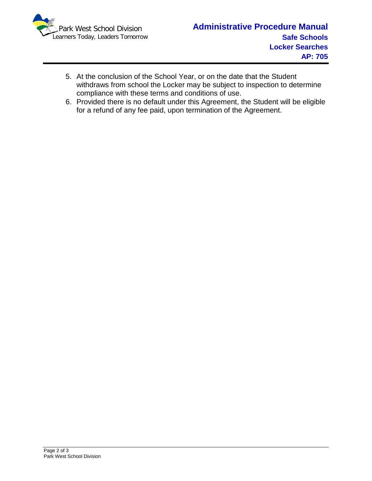

- 5. At the conclusion of the School Year, or on the date that the Student withdraws from school the Locker may be subject to inspection to determine compliance with these terms and conditions of use.
- 6. Provided there is no default under this Agreement, the Student will be eligible for a refund of any fee paid, upon termination of the Agreement.